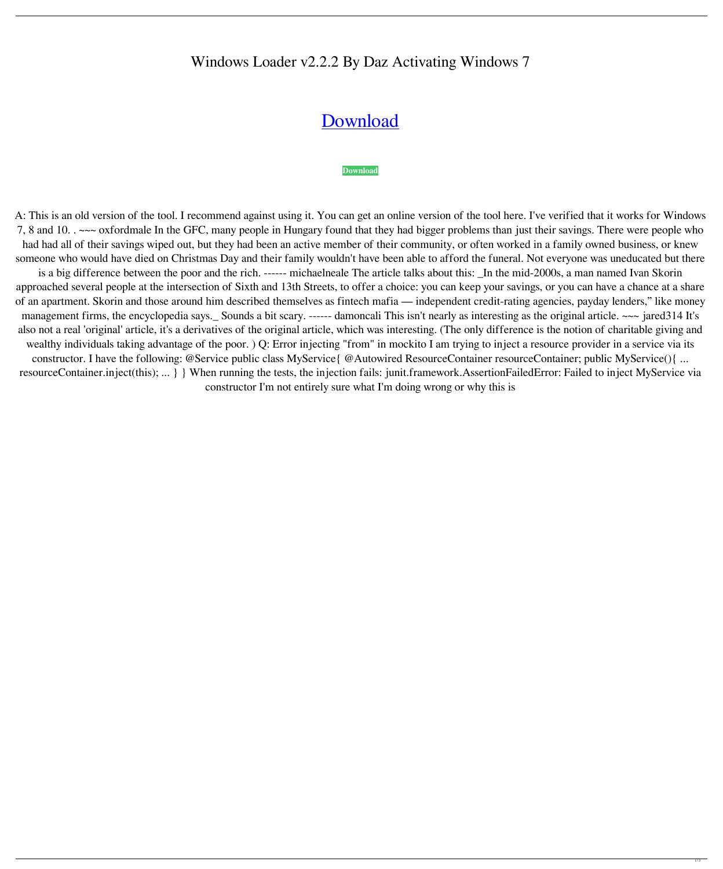## Windows Loader v2.2.2 By Daz Activating Windows 7

## [Download](https://urlca.com/2l1523)

## **[Download](https://urlca.com/2l1523)**

A: This is an old version of the tool. I recommend against using it. You can get an online version of the tool here. I've verified that it works for Windows 7, 8 and 10. . ~~~ oxfordmale In the GFC, many people in Hungary found that they had bigger problems than just their savings. There were people who had had all of their savings wiped out, but they had been an active member of their community, or often worked in a family owned business, or knew someone who would have died on Christmas Day and their family wouldn't have been able to afford the funeral. Not everyone was uneducated but there

is a big difference between the poor and the rich. ------ michaelneale The article talks about this: \_In the mid-2000s, a man named Ivan Skorin approached several people at the intersection of Sixth and 13th Streets, to offer a choice: you can keep your savings, or you can have a chance at a share of an apartment. Skorin and those around him described themselves as fintech mafia — independent credit-rating agencies, payday lenders," like money management firms, the encyclopedia says.\_ Sounds a bit scary. ------ damoncali This isn't nearly as interesting as the original article. ~~~ jared314 It's also not a real 'original' article, it's a derivatives of the original article, which was interesting. (The only difference is the notion of charitable giving and wealthy individuals taking advantage of the poor. ) Q: Error injecting "from" in mockito I am trying to inject a resource provider in a service via its constructor. I have the following: @Service public class MyService{ @Autowired ResourceContainer resourceContainer; public MyService(){ ... resourceContainer.inject(this); ... } } When running the tests, the injection fails: junit.framework.AssertionFailedError: Failed to inject MyService via constructor I'm not entirely sure what I'm doing wrong or why this is